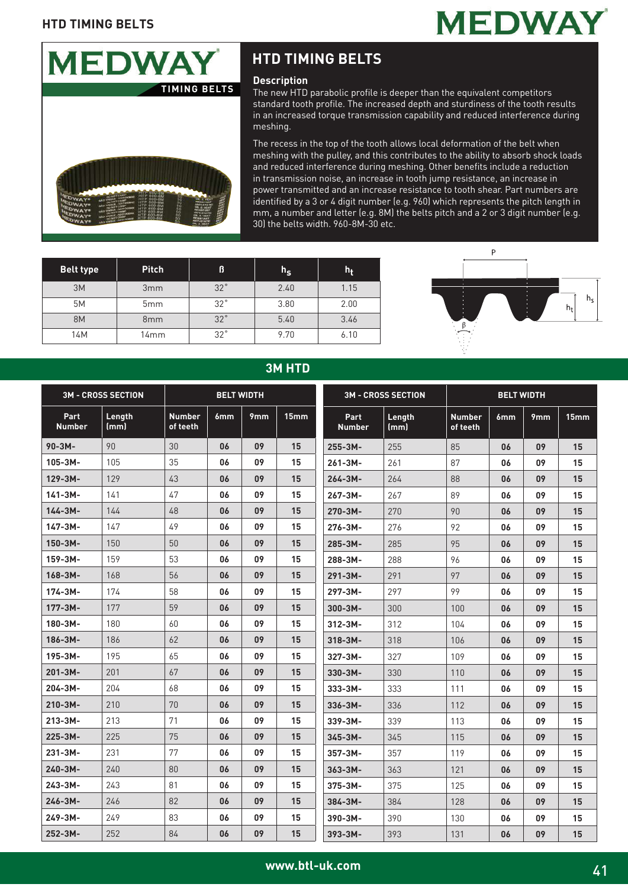



#### **Description**

The new HTD parabolic profile is deeper than the equivalent competitors standard tooth profile. The increased depth and sturdiness of the tooth results in an increased torque transmission capability and reduced interference during meshing.

The recess in the top of the tooth allows local deformation of the belt when meshing with the pulley, and this contributes to the ability to absorb shock loads and reduced interference during meshing. Other benefits include a reduction in transmission noise, an increase in tooth jump resistance, an increase in power transmitted and an increase resistance to tooth shear. Part numbers are identified by a 3 or 4 digit number (e.g. 960) which represents the pitch length in mm, a number and letter (e.g. 8M) the belts pitch and a 2 or 3 digit number (e.g. 30) the belts width. 960-8M-30 etc.

| <b>Belt type</b> | <b>Pitch</b>    | ß          | $h_{\scriptstyle{\mathbf{S}}}$ | $h_t$ |
|------------------|-----------------|------------|--------------------------------|-------|
| 3M               | 3mm             | $32^\circ$ | 2.40                           | 1.15  |
| 5M               | 5 <sub>mm</sub> | $32^\circ$ | 3.80                           | 2.00  |
| <b>8M</b>        | 8 <sub>mm</sub> | $32^\circ$ | 5.40                           | 3.46  |
| 14M              | 14mm            | $32^\circ$ | 9.70                           | 6.10  |



### **3M HTD**

| <b>3M - CROSS SECTION</b> |                | <b>BELT WIDTH</b>         |     |                 |      | <b>3M - CROSS SECTION</b> | <b>BELT WIDTH</b> |                           |     |     |                  |
|---------------------------|----------------|---------------------------|-----|-----------------|------|---------------------------|-------------------|---------------------------|-----|-----|------------------|
| Part<br><b>Number</b>     | Length<br>(mm) | <b>Number</b><br>of teeth | 6mm | 9 <sub>mm</sub> | 15mm | Part<br><b>Number</b>     | Length<br>(mm)    | <b>Number</b><br>of teeth | 6mm | 9mm | 15 <sub>mm</sub> |
| $90 - 3M -$               | 90             | 30                        | 06  | 09              | 15   | 255-3M-                   | 255               | 85                        | 06  | 09  | 15               |
| $105 - 3M -$              | 105            | 35                        | 06  | 09              | 15   | $261 - 3M -$              | 261               | 87                        | 06  | 09  | 15               |
| 129-3M-                   | 129            | 43                        | 06  | 09              | 15   | $264 - 3M -$              | 264               | 88                        | 06  | 09  | 15               |
| $141 - 3M -$              | 141            | 47                        | 06  | 09              | 15   | $267 - 3M -$              | 267               | 89                        | 06  | 09  | 15               |
| $144 - 3M -$              | 144            | 48                        | 06  | 09              | 15   | 270-3M-                   | 270               | 90                        | 06  | 09  | 15               |
| $147 - 3M -$              | 147            | 49                        | 06  | 09              | 15   | 276-3M-                   | 276               | 92                        | 06  | 09  | 15               |
| $150 - 3M -$              | 150            | 50                        | 06  | 09              | 15   | 285-3M-                   | 285               | 95                        | 06  | 09  | 15               |
| $159 - 3M -$              | 159            | 53                        | 06  | 09              | 15   | 288-3M-                   | 288               | 96                        | 06  | 09  | 15               |
| $168 - 3M -$              | 168            | 56                        | 06  | 09              | 15   | $291 - 3M -$              | 291               | 97                        | 06  | 09  | 15               |
| $174 - 3M -$              | 174            | 58                        | 06  | 09              | 15   | 297-3M-                   | 297               | 99                        | 06  | 09  | 15               |
| $177 - 3M -$              | 177            | 59                        | 06  | 09              | 15   | $300 - 3M -$              | 300               | 100                       | 06  | 09  | 15               |
| 180-3M-                   | 180            | 60                        | 06  | 09              | 15   | $312 - 3M -$              | 312               | 104                       | 06  | 09  | 15               |
| 186-3M-                   | 186            | 62                        | 06  | 09              | 15   | $318 - 3M -$              | 318               | 106                       | 06  | 09  | 15               |
| 195-3M-                   | 195            | 65                        | 06  | 09              | 15   | 327-3M-                   | 327               | 109                       | 06  | 09  | 15               |
| $201 - 3M -$              | 201            | 67                        | 06  | 09              | 15   | 330-3M-                   | 330               | 110                       | 06  | 09  | 15               |
| 204-3M-                   | 204            | 68                        | 06  | 09              | 15   | 333-3M-                   | 333               | 111                       | 06  | 09  | 15               |
| 210-3M-                   | 210            | 70                        | 06  | 09              | 15   | $336 - 3M -$              | 336               | 112                       | 06  | 09  | 15               |
| $213 - 3M -$              | 213            | 71                        | 06  | 09              | 15   | $339 - 3M -$              | 339               | 113                       | 06  | 09  | 15               |
| $225 - 3M -$              | 225            | 75                        | 06  | 09              | 15   | $345 - 3M -$              | 345               | 115                       | 06  | 09  | 15               |
| 231-3M-                   | 231            | 77                        | 06  | 09              | 15   | $357 - 3M -$              | 357               | 119                       | 06  | 09  | 15               |
| $240 - 3M -$              | 240            | 80                        | 06  | 09              | 15   | $363 - 3M -$              | 363               | 121                       | 06  | 09  | 15               |
| $243 - 3M -$              | 243            | 81                        | 06  | 09              | 15   | 375-3M-                   | 375               | 125                       | 06  | 09  | 15               |
| $246 - 3M -$              | 246            | 82                        | 06  | 09              | 15   | 384-3M-                   | 384               | 128                       | 06  | 09  | 15               |
| 249-3M-                   | 249            | 83                        | 06  | 09              | 15   | 390-3M-                   | 390               | 130                       | 06  | 09  | 15               |
| 252-3M-                   | 252            | 84                        | 06  | 09              | 15   | 393-3M-                   | 393               | 131                       | 06  | 09  | 15               |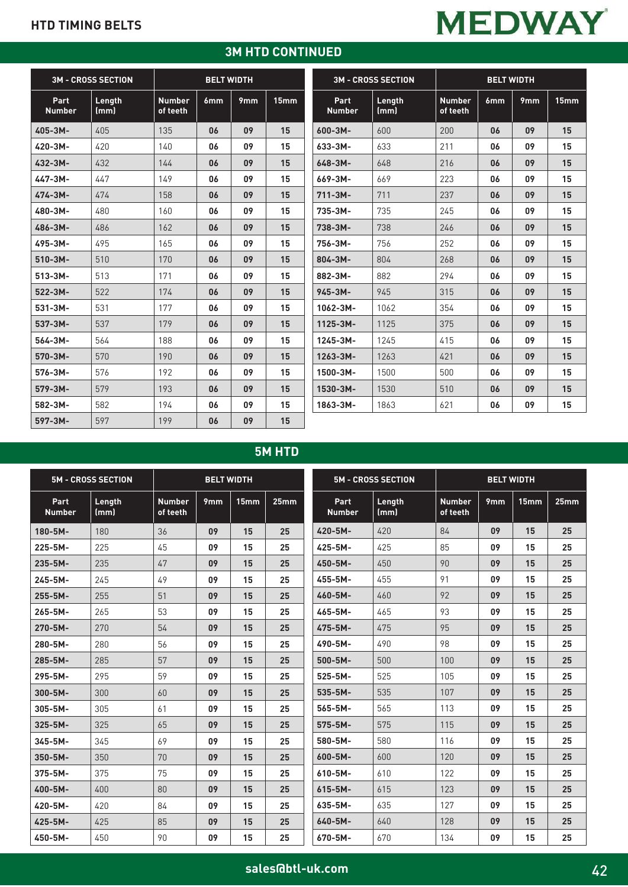## **3M HTD CONTINUED**

|                       | <b>3M - CROSS SECTION</b> |                           | <b>BELT WIDTH</b> |                 |                  |                       | <b>3M - CROSS SECTION</b> |                           | <b>BELT WIDTH</b> |     |                 |
|-----------------------|---------------------------|---------------------------|-------------------|-----------------|------------------|-----------------------|---------------------------|---------------------------|-------------------|-----|-----------------|
| Part<br><b>Number</b> | Length<br>(mm)            | <b>Number</b><br>of teeth | 6mm               | 9 <sub>mm</sub> | 15 <sub>mm</sub> | Part<br><b>Number</b> | Length<br>(mm)            | <b>Number</b><br>of teeth | 6mm               | 9mm | 15 <sub>m</sub> |
| 405-3M-               | 405                       | 135                       | 06                | 09              | 15               | $600 - 3M -$          | 600                       | 200                       | 06                | 09  | 15              |
| 420-3M-               | 420                       | 140                       | 06                | 09              | 15               | 633-3M-               | 633                       | 211                       | 06                | 09  | 15              |
| 432-3M-               | 432                       | 144                       | 06                | 09              | 15               | $648 - 3M -$          | 648                       | 216                       | 06                | 09  | 15              |
| 447-3M-               | 447                       | 149                       | 06                | 09              | 15               | 669-3M-               | 669                       | 223                       | 06                | 09  | 15              |
| 474-3M-               | 474                       | 158                       | 06                | 09              | 15               | $711 - 3M -$          | 711                       | 237                       | 06                | 09  | 15              |
| 480-3M-               | 480                       | 160                       | 06                | 09              | 15               | 735-3M-               | 735                       | 245                       | 06                | 09  | 15              |
| 486-3M-               | 486                       | 162                       | 06                | 09              | 15               | $738 - 3M -$          | 738                       | 246                       | 06                | 09  | 15              |
| 495-3M-               | 495                       | 165                       | 06                | 09              | 15               | 756-3M-               | 756                       | 252                       | 06                | 09  | 15              |
| $510-3M -$            | 510                       | 170                       | 06                | 09              | 15               | 804-3M-               | 804                       | 268                       | 06                | 09  | 15              |
| $513 - 3M -$          | 513                       | 171                       | 06                | 09              | 15               | 882-3M-               | 882                       | 294                       | 06                | 09  | 15              |
| $522 - 3M -$          | 522                       | 174                       | 06                | 09              | 15               | $945 - 3M -$          | 945                       | 315                       | 06                | 09  | 15              |
| $531 - 3M -$          | 531                       | 177                       | 06                | 09              | 15               | 1062-3M-              | 1062                      | 354                       | 06                | 09  | 15              |
| 537-3M-               | 537                       | 179                       | 06                | 09              | 15               | $1125 - 3M -$         | 1125                      | 375                       | 06                | 09  | 15              |
| $564 - 3M -$          | 564                       | 188                       | 06                | 09              | 15               | 1245-3M-              | 1245                      | 415                       | 06                | 09  | 15              |
| 570-3M-               | 570                       | 190                       | 06                | 09              | 15               | $1263 - 3M -$         | 1263                      | 421                       | 06                | 09  | 15              |
| 576-3M-               | 576                       | 192                       | 06                | 09              | 15               | 1500-3M-              | 1500                      | 500                       | 06                | 09  | 15              |
| 579-3M-               | 579                       | 193                       | 06                | 09              | 15               | 1530-3M-              | 1530                      | 510                       | 06                | 09  | 15              |
| 582-3M-               | 582                       | 194                       | 06                | 09              | 15               | 1863-3M-              | 1863                      | 621                       | 06                | 09  | 15              |
| 597-3M-               | 597                       | 199                       | 06                | 09              | 15               |                       |                           |                           |                   |     |                 |

## **5M HTD**

|                       | <b>5M - CROSS SECTION</b><br><b>BELT WIDTH</b> |                           |                 |      |      | <b>5M - CROSS SECTION</b> | <b>BELT WIDTH</b> |                           |                 |                  |      |
|-----------------------|------------------------------------------------|---------------------------|-----------------|------|------|---------------------------|-------------------|---------------------------|-----------------|------------------|------|
| Part<br><b>Number</b> | Length<br>(mm)                                 | <b>Number</b><br>of teeth | 9 <sub>mm</sub> | 15mm | 25mm | Part<br><b>Number</b>     | Length<br>(mm)    | <b>Number</b><br>of teeth | 9 <sub>mm</sub> | 15 <sub>mm</sub> | 25mm |
| 180-5M-               | 180                                            | 36                        | 09              | 15   | 25   | 420-5M-                   | 420               | 84                        | 09              | 15               | 25   |
| 225-5M-               | 225                                            | 45                        | 09              | 15   | 25   | 425-5M-                   | 425               | 85                        | 09              | 15               | 25   |
| 235-5M-               | 235                                            | 47                        | 09              | 15   | 25   | 450-5M-                   | 450               | 90                        | 09              | 15               | 25   |
| $245 - 5M -$          | 245                                            | 49                        | 09              | 15   | 25   | 455-5M-                   | 455               | 91                        | 09              | 15               | 25   |
| 255-5M-               | 255                                            | 51                        | 09              | 15   | 25   | 460-5M-                   | 460               | 92                        | 09              | 15               | 25   |
| $265 - 5M -$          | 265                                            | 53                        | 09              | 15   | 25   | 465-5M-                   | 465               | 93                        | 09              | 15               | 25   |
| 270-5M-               | 270                                            | 54                        | 09              | 15   | 25   | 475-5M-                   | 475               | 95                        | 09              | 15               | 25   |
| 280-5M-               | 280                                            | 56                        | 09              | 15   | 25   | 490-5M-                   | 490               | 98                        | 09              | 15               | 25   |
| 285-5M-               | 285                                            | 57                        | 09              | 15   | 25   | $500 - 5M -$              | 500               | 100                       | 09              | 15               | 25   |
| 295-5M-               | 295                                            | 59                        | 09              | 15   | 25   | $525 - 5M -$              | 525               | 105                       | 09              | 15               | 25   |
| $300 - 5M -$          | 300                                            | 60                        | 09              | 15   | 25   | $535 - 5M -$              | 535               | 107                       | 09              | 15               | 25   |
| 305-5M-               | 305                                            | 61                        | 09              | 15   | 25   | $565 - 5M -$              | 565               | 113                       | 09              | 15               | 25   |
| 325-5M-               | 325                                            | 65                        | 09              | 15   | 25   | 575-5M-                   | 575               | 115                       | 09              | 15               | 25   |
| $345 - 5M -$          | 345                                            | 69                        | 09              | 15   | 25   | 580-5M-                   | 580               | 116                       | 09              | 15               | 25   |
| 350-5M-               | 350                                            | 70                        | 09              | 15   | 25   | $600 - 5M -$              | 600               | 120                       | 09              | 15               | 25   |
| 375-5M-               | 375                                            | 75                        | 09              | 15   | 25   | $610 - 5M -$              | 610               | 122                       | 09              | 15               | 25   |
| 400-5M-               | 400                                            | 80                        | 09              | 15   | 25   | $615 - 5M -$              | 615               | 123                       | 09              | 15               | 25   |
| 420-5M-               | 420                                            | 84                        | 09              | 15   | 25   | 635-5M-                   | 635               | 127                       | 09              | 15               | 25   |
| 425-5M-               | 425                                            | 85                        | 09              | 15   | 25   | 640-5M-                   | 640               | 128                       | 09              | 15               | 25   |
| 450-5M-               | 450                                            | 90                        | 09              | 15   | 25   | 670-5M-                   | 670               | 134                       | 09              | 15               | 25   |

**sales@btl-uk.com**



**6mm 9mm 15mm**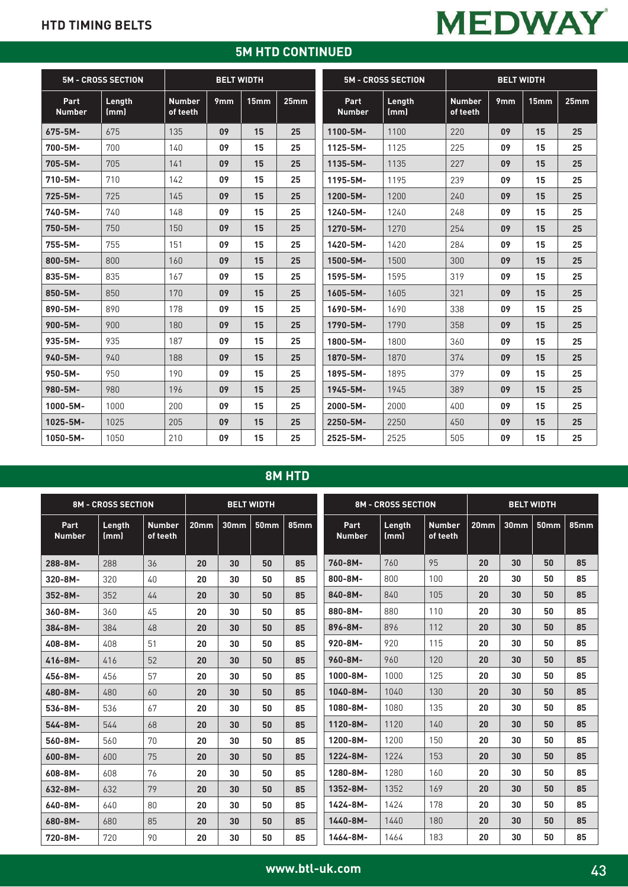### **5M HTD CONTINUED**

|                       | <b>BELT WIDTH</b><br><b>5M - CROSS SECTION</b> |                           |     |                  |      | <b>5M - CROSS SECTION</b> | <b>BELT WIDTH</b> |                           |                 |                  |      |
|-----------------------|------------------------------------------------|---------------------------|-----|------------------|------|---------------------------|-------------------|---------------------------|-----------------|------------------|------|
| Part<br><b>Number</b> | Length<br>(mm)                                 | <b>Number</b><br>of teeth | 9mm | 15 <sub>mm</sub> | 25mm | Part<br><b>Number</b>     | Length<br>(mm)    | <b>Number</b><br>of teeth | 9 <sub>mm</sub> | 15 <sub>mm</sub> | 25mm |
| 675-5M-               | 675                                            | 135                       | 09  | 15               | 25   | 1100-5M-                  | 1100              | 220                       | 09              | 15               | 25   |
| 700-5M-               | 700                                            | 140                       | 09  | 15               | 25   | 1125-5M-                  | 1125              | 225                       | 09              | 15               | 25   |
| 705-5M-               | 705                                            | 141                       | 09  | 15               | 25   | $1135 - 5M -$             | 1135              | 227                       | 09              | 15               | 25   |
| 710-5M-               | 710                                            | 142                       | 09  | 15               | 25   | 1195-5M-                  | 1195              | 239                       | 09              | 15               | 25   |
| 725-5M-               | 725                                            | 145                       | 09  | 15               | 25   | 1200-5M-                  | 1200              | 240                       | 09              | 15               | 25   |
| 740-5M-               | 740                                            | 148                       | 09  | 15               | 25   | 1240-5M-                  | 1240              | 248                       | 09              | 15               | 25   |
| 750-5M-               | 750                                            | 150                       | 09  | 15               | 25   | 1270-5M-                  | 1270              | 254                       | 09              | 15               | 25   |
| 755-5M-               | 755                                            | 151                       | 09  | 15               | 25   | 1420-5M-                  | 1420              | 284                       | 09              | 15               | 25   |
| 800-5M-               | 800                                            | 160                       | 09  | 15               | 25   | 1500-5M-                  | 1500              | 300                       | 09              | 15               | 25   |
| 835-5M-               | 835                                            | 167                       | 09  | 15               | 25   | 1595-5M-                  | 1595              | 319                       | 09              | 15               | 25   |
| 850-5M-               | 850                                            | 170                       | 09  | 15               | 25   | 1605-5M-                  | 1605              | 321                       | 09              | 15               | 25   |
| 890-5M-               | 890                                            | 178                       | 09  | 15               | 25   | 1690-5M-                  | 1690              | 338                       | 09              | 15               | 25   |
| $900 - 5M -$          | 900                                            | 180                       | 09  | 15               | 25   | 1790-5M-                  | 1790              | 358                       | 09              | 15               | 25   |
| 935-5M-               | 935                                            | 187                       | 09  | 15               | 25   | 1800-5M-                  | 1800              | 360                       | 09              | 15               | 25   |
| 940-5M-               | 940                                            | 188                       | 09  | 15               | 25   | 1870-5M-                  | 1870              | 374                       | 09              | 15               | 25   |
| 950-5M-               | 950                                            | 190                       | 09  | 15               | 25   | 1895-5M-                  | 1895              | 379                       | 09              | 15               | 25   |
| 980-5M-               | 980                                            | 196                       | 09  | 15               | 25   | 1945-5M-                  | 1945              | 389                       | 09              | 15               | 25   |
| $1000 - 5M -$         | 1000                                           | 200                       | 09  | 15               | 25   | 2000-5M-                  | 2000              | 400                       | 09              | 15               | 25   |
| 1025-5M-              | 1025                                           | 205                       | 09  | 15               | 25   | 2250-5M-                  | 2250              | 450                       | 09              | 15               | 25   |
| 1050-5M-              | 1050                                           | 210                       | 09  | 15               | 25   | 2525-5M-                  | 2525              | 505                       | 09              | 15               | 25   |

## **8M HTD**

| <b>8M - CROSS SECTION</b><br><b>BELT WIDTH</b> |                |                           |                  | <b>8M - CROSS SECTION</b> |                  |             | <b>BELT WIDTH</b>     |                |                           |                  |                  |             |      |
|------------------------------------------------|----------------|---------------------------|------------------|---------------------------|------------------|-------------|-----------------------|----------------|---------------------------|------------------|------------------|-------------|------|
| Part<br><b>Number</b>                          | Length<br>(mm) | <b>Number</b><br>of teeth | 20 <sub>mm</sub> | 30 <sub>mm</sub>          | 50 <sub>mm</sub> | <b>85mm</b> | Part<br><b>Number</b> | Length<br>(mm) | <b>Number</b><br>of teeth | 20 <sub>mm</sub> | 30 <sub>mm</sub> | <b>50mm</b> | 85mm |
| 288-8M-                                        | 288            | 36                        | 20               | 30                        | 50               | 85          | 760-8M-               | 760            | 95                        | 20               | 30               | 50          | 85   |
| 320-8M-                                        | 320            | 40                        | 20               | 30                        | 50               | 85          | $800 - 8M -$          | 800            | 100                       | 20               | 30               | 50          | 85   |
| 352-8M-                                        | 352            | 44                        | 20               | 30                        | 50               | 85          | 840-8M-               | 840            | 105                       | 20               | 30               | 50          | 85   |
| 360-8M-                                        | 360            | 45                        | 20               | 30                        | 50               | 85          | 880-8M-               | 880            | 110                       | 20               | 30               | 50          | 85   |
| 384-8M-                                        | 384            | 48                        | 20               | 30                        | 50               | 85          | 896-8M-               | 896            | 112                       | 20               | 30               | 50          | 85   |
| 408-8M-                                        | 408            | 51                        | 20               | 30                        | 50               | 85          | 920-8M-               | 920            | 115                       | 20               | 30               | 50          | 85   |
| 416-8M-                                        | 416            | 52                        | 20               | 30                        | 50               | 85          | 960-8M-               | 960            | 120                       | 20               | 30               | 50          | 85   |
| 456-8M-                                        | 456            | 57                        | 20               | 30                        | 50               | 85          | $1000 - 8M -$         | 1000           | 125                       | 20               | 30               | 50          | 85   |
| 480-8M-                                        | 480            | 60                        | 20               | 30                        | 50               | 85          | 1040-8M-              | 1040           | 130                       | 20               | 30               | 50          | 85   |
| 536-8M-                                        | 536            | 67                        | 20               | 30                        | 50               | 85          | 1080-8M-              | 1080           | 135                       | 20               | 30               | 50          | 85   |
| 544-8M-                                        | 544            | 68                        | 20               | 30                        | 50               | 85          | 1120-8M-              | 1120           | 140                       | 20               | 30               | 50          | 85   |
| 560-8M-                                        | 560            | 70                        | 20               | 30                        | 50               | 85          | 1200-8M-              | 1200           | 150                       | 20               | 30               | 50          | 85   |
| 600-8M-                                        | 600            | 75                        | 20               | 30                        | 50               | 85          | 1224-8M-              | 1224           | 153                       | 20               | 30               | 50          | 85   |
| 608-8M-                                        | 608            | 76                        | 20               | 30                        | 50               | 85          | 1280-8M-              | 1280           | 160                       | 20               | 30               | 50          | 85   |
| 632-8M-                                        | 632            | 79                        | 20               | 30                        | 50               | 85          | 1352-8M-              | 1352           | 169                       | 20               | 30               | 50          | 85   |
| 640-8M-                                        | 640            | 80                        | 20               | 30                        | 50               | 85          | 1424-8M-              | 1424           | 178                       | 20               | 30               | 50          | 85   |
| 680-8M-                                        | 680            | 85                        | 20               | 30                        | 50               | 85          | 1440-8M-              | 1440           | 180                       | 20               | 30               | 50          | 85   |
| 720-8M-                                        | 720            | 90                        | 20               | 30                        | 50               | 85          | 1464-8M-              | 1464           | 183                       | 20               | 30               | 50          | 85   |

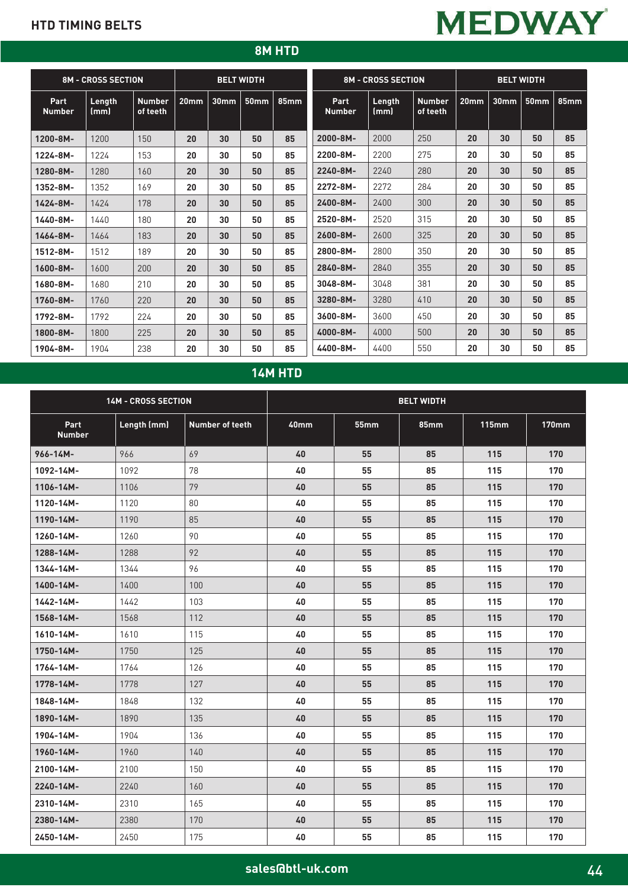# **MEDWAY**

## **8M HTD**

|                       | <b>8M - CROSS SECTION</b> |                           | <b>BELT WIDTH</b> |                  |                  |             | <b>8M - CROSS SECTION</b> |                | <b>BELT WIDTH</b>         |                  |                  |             |             |
|-----------------------|---------------------------|---------------------------|-------------------|------------------|------------------|-------------|---------------------------|----------------|---------------------------|------------------|------------------|-------------|-------------|
| Part<br><b>Number</b> | Length<br>(mm)            | <b>Number</b><br>of teeth | 20 <sub>mm</sub>  | 30 <sub>mm</sub> | 50 <sub>mm</sub> | <b>85mm</b> | Part<br><b>Number</b>     | Length<br>(mm) | <b>Number</b><br>of teeth | 20 <sub>mm</sub> | 30 <sub>mm</sub> | <b>50mm</b> | <b>85mm</b> |
| 1200-8M-              | 1200                      | 150                       | 20                | 30               | 50               | 85          | 2000-8M-                  | 2000           | 250                       | 20               | 30               | 50          | 85          |
| 1224-8M-              | 1224                      | 153                       | 20                | 30               | 50               | 85          | 2200-8M-                  | 2200           | 275                       | 20               | 30               | 50          | 85          |
| 1280-8M-              | 1280                      | 160                       | 20                | 30               | 50               | 85          | 2240-8M-                  | 2240           | 280                       | 20               | 30               | 50          | 85          |
| 1352-8M-              | 1352                      | 169                       | 20                | 30               | 50               | 85          | 2272-8M-                  | 2272           | 284                       | 20               | 30               | 50          | 85          |
| 1424-8M-              | 1424                      | 178                       | 20                | 30               | 50               | 85          | 2400-8M-                  | 2400           | 300                       | 20               | 30               | 50          | 85          |
| 1440-8M-              | 1440                      | 180                       | 20                | 30               | 50               | 85          | 2520-8M-                  | 2520           | 315                       | 20               | 30               | 50          | 85          |
| 1464-8M-              | 1464                      | 183                       | 20                | 30               | 50               | 85          | 2600-8M-                  | 2600           | 325                       | 20               | 30               | 50          | 85          |
| 1512-8M-              | 1512                      | 189                       | 20                | 30               | 50               | 85          | 2800-8M-                  | 2800           | 350                       | 20               | 30               | 50          | 85          |
| $1600 - 8M -$         | 1600                      | 200                       | 20                | 30               | 50               | 85          | 2840-8M-                  | 2840           | 355                       | 20               | 30               | 50          | 85          |
| 1680-8M-              | 1680                      | 210                       | 20                | 30               | 50               | 85          | 3048-8M-                  | 3048           | 381                       | 20               | 30               | 50          | 85          |
| 1760-8M-              | 1760                      | 220                       | 20                | 30               | 50               | 85          | 3280-8M-                  | 3280           | 410                       | 20               | 30               | 50          | 85          |
| 1792-8M-              | 1792                      | 224                       | 20                | 30               | 50               | 85          | 3600-8M-                  | 3600           | 450                       | 20               | 30               | 50          | 85          |
| 1800-8M-              | 1800                      | 225                       | 20                | 30               | 50               | 85          | 4000-8M-                  | 4000           | 500                       | 20               | 30               | 50          | 85          |
| 1904-8M-              | 1904                      | 238                       | 20                | 30               | 50               | 85          | 4400-8M-                  | 4400           | 550                       | 20               | 30               | 50          | 85          |

## **14M HTD**

|                       | 14M - CROSS SECTION |                        | <b>BELT WIDTH</b> |             |             |              |              |  |  |  |
|-----------------------|---------------------|------------------------|-------------------|-------------|-------------|--------------|--------------|--|--|--|
| Part<br><b>Number</b> | Length (mm)         | <b>Number of teeth</b> | 40 <sub>mm</sub>  | <b>55mm</b> | <b>85mm</b> | <b>115mm</b> | <b>170mm</b> |  |  |  |
| 966-14M-              | 966                 | 69                     | 40                | 55          | 85          | 115          | 170          |  |  |  |
| 1092-14M-             | 1092                | 78                     | 40                | 55          | 85          | 115          | 170          |  |  |  |
| 1106-14M-             | 1106                | 79                     | 40                | 55          | 85          | 115          | 170          |  |  |  |
| 1120-14M-             | 1120                | 80                     | 40                | 55          | 85          | 115          | 170          |  |  |  |
| 1190-14M-             | 1190                | 85                     | 40                | 55          | 85          | 115          | 170          |  |  |  |
| 1260-14M-             | 1260                | 90                     | 40                | 55          | 85          | 115          | 170          |  |  |  |
| 1288-14M-             | 1288                | 92                     | 40                | 55          | 85          | 115          | 170          |  |  |  |
| 1344-14M-             | 1344                | 96                     | 40                | 55          | 85          | 115          | 170          |  |  |  |
| 1400-14M-             | 1400                | 100                    | 40                | 55          | 85          | 115          | 170          |  |  |  |
| 1442-14M-             | 1442                | 103                    | 40                | 55          | 85          | 115          | 170          |  |  |  |
| 1568-14M-             | 1568                | 112                    | 40                | 55          | 85          | 115          | 170          |  |  |  |
| 1610-14M-             | 1610                | 115                    | 40                | 55          | 85          | 115          | 170          |  |  |  |
| 1750-14M-             | 1750                | 125                    | 40                | 55          | 85          | 115          | 170          |  |  |  |
| 1764-14M-             | 1764                | 126                    | 40                | 55          | 85          | 115          | 170          |  |  |  |
| 1778-14M-             | 1778                | 127                    | 40                | 55          | 85          | 115          | 170          |  |  |  |
| 1848-14M-             | 1848                | 132                    | 40                | 55          | 85          | 115          | 170          |  |  |  |
| 1890-14M-             | 1890                | 135                    | 40                | 55          | 85          | 115          | 170          |  |  |  |
| 1904-14M-             | 1904                | 136                    | 40                | 55          | 85          | 115          | 170          |  |  |  |
| 1960-14M-             | 1960                | 140                    | 40                | 55          | 85          | 115          | 170          |  |  |  |
| 2100-14M-             | 2100                | 150                    | 40                | 55          | 85          | 115          | 170          |  |  |  |
| 2240-14M-             | 2240                | 160                    | 40                | 55          | 85          | 115          | 170          |  |  |  |
| 2310-14M-             | 2310                | 165                    | 40                | 55          | 85          | 115          | 170          |  |  |  |
| 2380-14M-             | 2380                | 170                    | 40                | 55          | 85          | 115          | 170          |  |  |  |
| 2450-14M-             | 2450                | 175                    | 40                | 55          | 85          | 115          | 170          |  |  |  |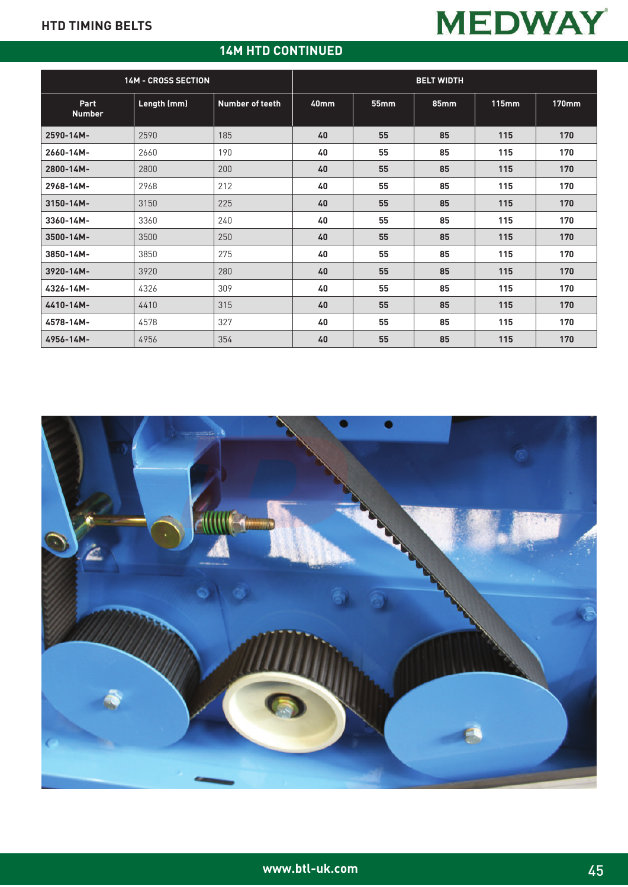## **14M HTD CONTINUED**

|                       | <b>14M - CROSS SECTION</b> |                        | <b>BELT WIDTH</b> |      |             |              |              |  |  |  |
|-----------------------|----------------------------|------------------------|-------------------|------|-------------|--------------|--------------|--|--|--|
| Part<br><b>Number</b> | Length (mm)                | <b>Number of teeth</b> | 40mm              | 55mm | <b>85mm</b> | <b>115mm</b> | <b>170mm</b> |  |  |  |
| 2590-14M-             | 2590                       | 185                    | 40                | 55   | 85          | 115          | 170          |  |  |  |
| 2660-14M-             | 2660                       | 190                    | 40                | 55   | 85          | 115          | 170          |  |  |  |
| 2800-14M-             | 2800                       | 200                    | 40                | 55   | 85          | 115          | 170          |  |  |  |
| 2968-14M-             | 2968                       | 212                    | 40                | 55   | 85          | 115          | 170          |  |  |  |
| $3150 - 14M -$        | 3150                       | 225                    | 40                | 55   | 85          | 115          | 170          |  |  |  |
| 3360-14M-             | 3360                       | 240                    | 40                | 55   | 85          | 115          | 170          |  |  |  |
| 3500-14M-             | 3500                       | 250                    | 40                | 55   | 85          | 115          | 170          |  |  |  |
| 3850-14M-             | 3850                       | 275                    | 40                | 55   | 85          | 115          | 170          |  |  |  |
| 3920-14M-             | 3920                       | 280                    | 40                | 55   | 85          | 115          | 170          |  |  |  |
| 4326-14M-             | 4326                       | 309                    | 40                | 55   | 85          | 115          | 170          |  |  |  |
| 4410-14M-             | 4410                       | 315                    | 40                | 55   | 85          | 115          | 170          |  |  |  |
| 4578-14M-             | 4578                       | 327                    | 40                | 55   | 85          | 115          | 170          |  |  |  |
| 4956-14M-             | 4956                       | 354                    | 40                | 55   | 85          | 115          | 170          |  |  |  |

**MEDWAY** 

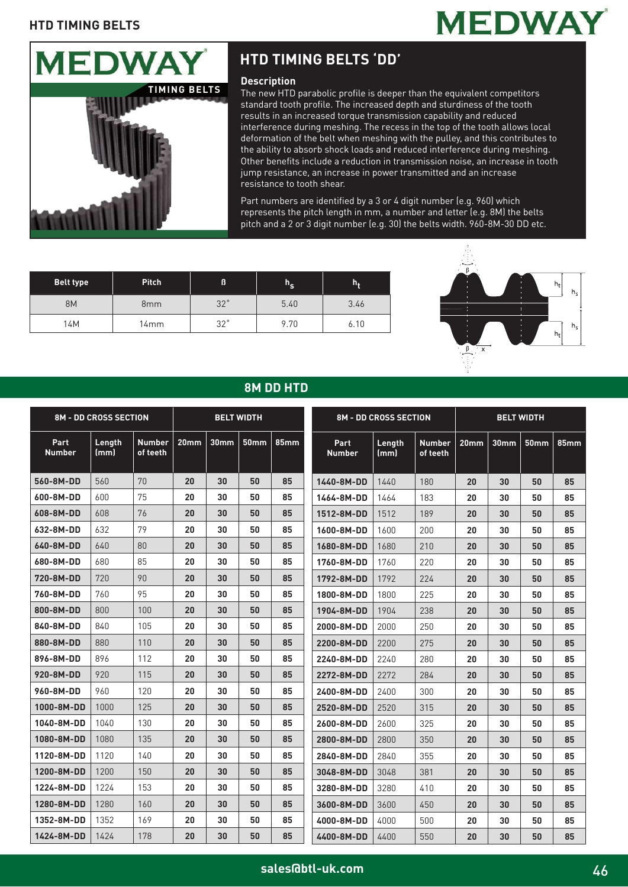



# **HTD TIMING BELTS 'DD'**

#### **Description**

The new HTD parabolic profile is deeper than the equivalent competitors standard tooth profile. The increased depth and sturdiness of the tooth results in an increased torque transmission capability and reduced interference during meshing. The recess in the top of the tooth allows local deformation of the belt when meshing with the pulley, and this contributes to the ability to absorb shock loads and reduced interference during meshing. Other benefits include a reduction in transmission noise, an increase in tooth jump resistance, an increase in power transmitted and an increase resistance to tooth shear.

Part numbers are identified by a 3 or 4 digit number (e.g. 960) which represents the pitch length in mm, a number and letter (e.g. 8M) the belts pitch and a 2 or 3 digit number (e.g. 30) the belts width. 960-8M-30 DD etc.

| <b>Belt type</b> | <b>Pitch</b>    | ß            | $h_{\mathsf{S}}$ | h,   |
|------------------|-----------------|--------------|------------------|------|
| <b>8M</b>        | 8 <sub>mm</sub> | 32°          | 5.40             | 3.46 |
| 14M              | 14mm            | $32^{\circ}$ | 9.70             | 6.10 |



## **8M DD HTD**

| <b>8M - DD CROSS SECTION</b><br><b>BELT WIDTH</b> |                |                           |                  |                  |             | <b>8M - DD CROSS SECTION</b> |                       | <b>BELT WIDTH</b> |                           |                  |                  |      |             |
|---------------------------------------------------|----------------|---------------------------|------------------|------------------|-------------|------------------------------|-----------------------|-------------------|---------------------------|------------------|------------------|------|-------------|
| Part<br><b>Number</b>                             | Length<br>(mm) | <b>Number</b><br>of teeth | 20 <sub>mm</sub> | 30 <sub>mm</sub> | <b>50mm</b> | <b>85mm</b>                  | Part<br><b>Number</b> | Length<br>(mm)    | <b>Number</b><br>of teeth | 20 <sub>mm</sub> | 30 <sub>mm</sub> | 50mm | <b>85mm</b> |
| 560-8M-DD                                         | 560            | 70                        | 20               | 30               | 50          | 85                           | 1440-8M-DD            | 1440              | 180                       | 20               | 30               | 50   | 85          |
| 600-8M-DD                                         | 600            | 75                        | 20               | 30               | 50          | 85                           | 1464-8M-DD            | 1464              | 183                       | 20               | 30               | 50   | 85          |
| 608-8M-DD                                         | 608            | 76                        | 20               | 30               | 50          | 85                           | 1512-8M-DD            | 1512              | 189                       | 20               | 30               | 50   | 85          |
| 632-8M-DD                                         | 632            | 79                        | 20               | 30               | 50          | 85                           | 1600-8M-DD            | 1600              | 200                       | 20               | 30               | 50   | 85          |
| 640-8M-DD                                         | 640            | 80                        | 20               | 30               | 50          | 85                           | 1680-8M-DD            | 1680              | 210                       | 20               | 30               | 50   | 85          |
| 680-8M-DD                                         | 680            | 85                        | 20               | 30               | 50          | 85                           | 1760-8M-DD            | 1760              | 220                       | 20               | 30               | 50   | 85          |
| 720-8M-DD                                         | 720            | 90                        | 20               | 30               | 50          | 85                           | 1792-8M-DD            | 1792              | 224                       | 20               | 30               | 50   | 85          |
| 760-8M-DD                                         | 760            | 95                        | 20               | 30               | 50          | 85                           | 1800-8M-DD            | 1800              | 225                       | 20               | 30               | 50   | 85          |
| 800-8M-DD                                         | 800            | 100                       | 20               | 30               | 50          | 85                           | 1904-8M-DD            | 1904              | 238                       | 20               | 30               | 50   | 85          |
| 840-8M-DD                                         | 840            | 105                       | 20               | 30               | 50          | 85                           | 2000-8M-DD            | 2000              | 250                       | 20               | 30               | 50   | 85          |
| 880-8M-DD                                         | 880            | 110                       | 20               | 30               | 50          | 85                           | 2200-8M-DD            | 2200              | 275                       | 20               | 30               | 50   | 85          |
| 896-8M-DD                                         | 896            | 112                       | 20               | 30               | 50          | 85                           | 2240-8M-DD            | 2240              | 280                       | 20               | 30               | 50   | 85          |
| 920-8M-DD                                         | 920            | 115                       | 20               | 30               | 50          | 85                           | 2272-8M-DD            | 2272              | 284                       | 20               | 30               | 50   | 85          |
| 960-8M-DD                                         | 960            | 120                       | 20               | 30               | 50          | 85                           | 2400-8M-DD            | 2400              | 300                       | 20               | 30               | 50   | 85          |
| 1000-8M-DD                                        | 1000           | 125                       | 20               | 30               | 50          | 85                           | 2520-8M-DD            | 2520              | 315                       | 20               | 30               | 50   | 85          |
| 1040-8M-DD                                        | 1040           | 130                       | 20               | 30               | 50          | 85                           | 2600-8M-DD            | 2600              | 325                       | 20               | 30               | 50   | 85          |
| 1080-8M-DD                                        | 1080           | 135                       | 20               | 30               | 50          | 85                           | 2800-8M-DD            | 2800              | 350                       | 20               | 30               | 50   | 85          |
| 1120-8M-DD                                        | 1120           | 140                       | 20               | 30               | 50          | 85                           | 2840-8M-DD            | 2840              | 355                       | 20               | 30               | 50   | 85          |
| 1200-8M-DD                                        | 1200           | 150                       | 20               | 30               | 50          | 85                           | 3048-8M-DD            | 3048              | 381                       | 20               | 30               | 50   | 85          |
| 1224-8M-DD                                        | 1224           | 153                       | 20               | 30               | 50          | 85                           | 3280-8M-DD            | 3280              | 410                       | 20               | 30               | 50   | 85          |
| 1280-8M-DD                                        | 1280           | 160                       | 20               | 30               | 50          | 85                           | 3600-8M-DD            | 3600              | 450                       | 20               | 30               | 50   | 85          |
| 1352-8M-DD                                        | 1352           | 169                       | 20               | 30               | 50          | 85                           | 4000-8M-DD            | 4000              | 500                       | 20               | 30               | 50   | 85          |
| 1424-8M-DD                                        | 1424           | 178                       | 20               | 30               | 50          | 85                           | 4400-8M-DD            | 4400              | 550                       | 20               | 30               | 50   | 85          |